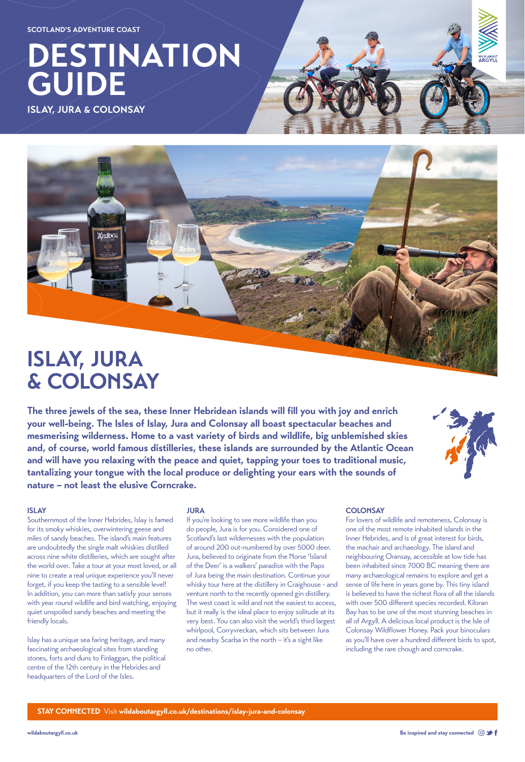**[wildaboutargyll.co.uk](https://www.wildaboutargyll.co.uk) Be inspired and stay connected**

# **DESTINATION GUIDE**

**ISLAY, JURA & COLONSAY** 



## **ISLAY, JURA & COLONSAY**

**The three jewels of the sea, these Inner Hebridean islands will fill you with joy and enrich your well-being. The Isles of Islay, Jura and Colonsay all boast spectacular beaches and mesmerising wilderness. Home to a vast variety of birds and wildlife, big unblemished skies and, of course, world famous distilleries, these islands are surrounded by the Atlantic Ocean and will have you relaxing with the peace and quiet, tapping your toes to traditional music, tantalizing your tongue with the local produce or delighting your ears with the sounds of nature – not least the elusive Corncrake.**



#### **ISLAY**

Southernmost of the Inner Hebrides, Islay is famed for its smoky whiskies, overwintering geese and miles of sandy beaches. The island's main features are undoubtedly the single malt whiskies distilled across nine white distilleries, which are sought after the world over. Take a tour at your most loved, or all nine to create a real unique experience you'll never forget, if you keep the tasting to a sensible level! In addition, you can more than satisfy your senses with year round wildlife and bird watching, enjoying quiet unspoiled sandy beaches and meeting the friendly locals.

Islay has a unique sea faring heritage, and many fascinating archaeological sites from standing stones, forts and duns to Finlaggan, the political centre of the 12th century in the Hebrides and headquarters of the Lord of the Isles.

#### **JURA**

If you're looking to see more wildlife than you do people, Jura is for you. Considered one of Scotland's last wildernesses with the population of around 200 out-numbered by over 5000 deer. Jura, believed to originate from the Norse 'Island of the Deer' is a walkers' paradise with the Paps of Jura being the main destination. Continue your whisky tour here at the distillery in Craighouse - and venture north to the recently opened gin distillery. The west coast is wild and not the easiest to access, but it really is the ideal place to enjoy solitude at its very best. You can also visit the world's third largest whirlpool, Corryvreckan, which sits between Jura and nearby Scarba in the north – it's a sight like no other.

**STAY CONNECTED** Visit **[wildaboutargyll.co.uk/destinations/islay-jura-and-colonsay](http://wildaboutargyll.co.uk/destinations/islay-jura-and-colonsay)**

#### **COLONSAY**

For lovers of wildlife and remoteness, Colonsay is one of the most remote inhabited islands in the Inner Hebrides, and is of great interest for birds, the machair and archaeology. The island and neighbouring Oransay, accessible at low tide has been inhabited since 7000 BC meaning there are many archaeological remains to explore and get a sense of life here in years gone by. This tiny island is believed to have the richest flora of all the islands with over 500 different species recorded. Kiloran Bay has to be one of the most stunning beaches in all of Argyll. A delicious local product is the Isle of Colonsay Wildflower Honey. Pack your binoculars as you'll have over a hundred different birds to spot, including the rare chough and corncrake.

**SCOTLAND'S ADVENTURE COAST**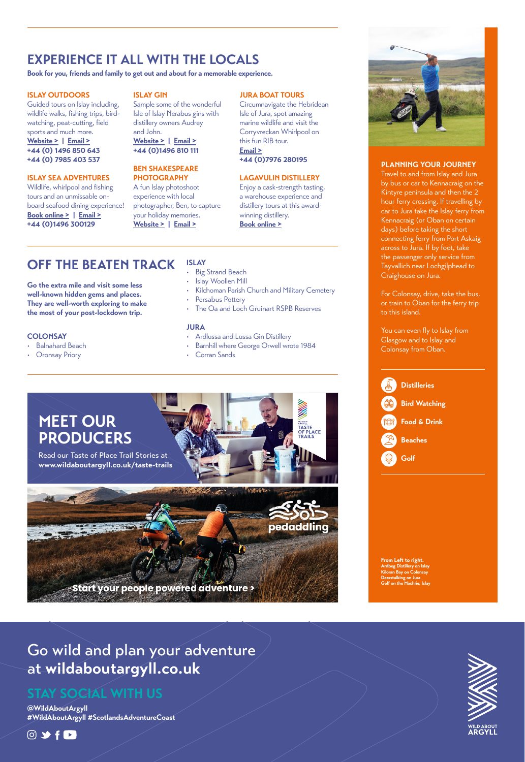### Go wild and plan your adventure at **wildaboutargyll.co.uk**

**@WildAboutArgyll #WildAboutArgyll #ScotlandsAdventureCoast**

### $@$   $\rightarrow$   $f$   $\Box$



### **STAY SOCIAL WITH US**

### **PLANNING YOUR JOURNEY**

Travel to and from Islay and Jura by bus or car to Kennacraig on the Kintyre peninsula and then the 2 hour ferry crossing. If travelling by car to Jura take the Islay ferry from Kennacraig (or Oban on certain days) before taking the short connecting ferry from Port Askaig across to Jura. If by foot, take the passenger only service from Tayvallich near Lochgilphead to Craighouse on Jura.

For Colonsay, drive, take the bus, or train to Oban for the ferry trip to this island.

You can even fly to Islay from Glasgow and to Islay and Colonsay from Oban.

**From Left to right. Ardbeg Distillery on Islay Kiloran Bay on Colonsay**

### Start your people powered adventure >

**Deerstalking on Jura Golf on the Machrie, Islay**

### **OFF THE BEATEN TRACK**

**Go the extra mile and visit some less well-known hidden gems and places. They are well-worth exploring to make the most of your post-lockdown trip.**

- Balnahard Beach
- **Oronsay Priory**

#### **ISLAY** • Big Strand Beach

- Islay Woollen Mill
- Kilchoman Parish Church and Military Cemetery
- Persabus Pottery
- The Oa and Loch Gruinart RSPB Reserves

#### **JURA**

- Ardlussa and Lussa Gin Distillery
- Barnhill where George Orwell wrote 1984
- Corran Sands



#### **ISLAY OUTDOORS**

[Gu](https://www.instagram.com/wildaboutargyll/)id[ed](https://twitter.com/wildaboutargyll) t[ou](https://www.facebook.com/wildaboutargyll)r[s o](https://www.youtube.com/channel/UCgEJa9LLZWI7s7tv0RMIlUw)n Islay including, [w](https://www.instagram.com/wildaboutargyll/)ild[lif](https://twitter.com/wildaboutargyll)e [w](https://www.facebook.com/wildaboutargyll)al[ks](https://www.youtube.com/channel/UCgEJa9LLZWI7s7tv0RMIlUw), fishing trips, birdwatching, peat-cutting, field sports and much more. **[Website >](https://www.islayoutdoors.com/) | [Email >](mailto:dj%40islayoutdoors.com?subject=) +44 (0) 1496 850 643 +44 (0) 7985 403 537**

### **ISLAY SEA ADVENTURES**

Wildlife, whirlpool and fishing tours and an unmissable onboard seafood dining experience! **[Book online >](https://islay-sea-adventures.co.uk/) | [Email >](mailto:info%40islay-sea-adventures.co.uk?subject=) +44 (0)1496 300129**

### **ISLAY GIN**

Sample some of the wonderful Isle of Islay Nerabus gins with

distillery owners Audrey and John. **[Website >](https://isleofislaygin.co.uk/) | [Email >](mailto:info%40isleofislaygin.com?subject=)**

**+44 (0)1496 810 111**

#### **BEN SHAKESPEARE PHOTOGRAPHY**

A fun Islay photoshoot experience with local photographer, Ben, to capture your holiday memories. **[Website >](https://benshakespeare.com/) | [Email >](mailto:https://benshakespeare.com/contact?subject=)**

### **COLONSAY**

### **EXPERIENCE IT ALL WITH THE LOCALS**

**Book for you, friends and family to get out and about for a memorable experience.** 

### **JURA BOAT TOURS**

Circumnavigate the Hebridean Isle of Jura, spot amazing marine wildlife and visit the Corryvreckan Whirlpool on this fun RIB tour. **[Email >](mailto:info%40juraboattours.co.uk?subject=) +44 (0)7976 280195**

### **LAGAVULIN DISTILLERY**

Enjoy a cask-strength tasting, a warehouse experience and distillery tours at this awardwinning distillery. **[Book online >](https://www.malts.com/en-row/distilleries/lagavulin/tours)**